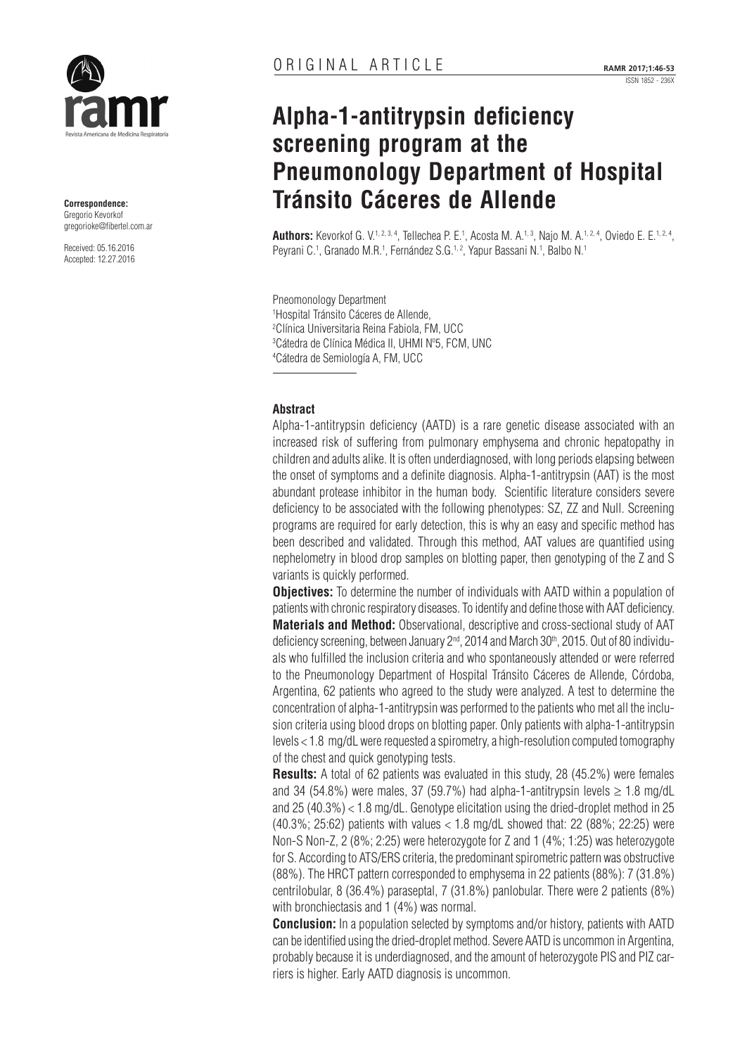

**Correspondence:** Gregorio Kevorkof gregorioke@fibertel.com.ar

Received: 05.16.2016 Accepted: 12.27.2016

# **Alpha-1-antitrypsin deficiency screening program at the Pneumonology Department of Hospital Tránsito Cáceres de Allende**

**Authors:** Kevorkof G. V.<sup>1, 2, 3, 4</sup>, Tellechea P. E.<sup>1</sup>, Acosta M. A.<sup>1, 3</sup>, Najo M. A.<sup>1, 2, 4</sup>, Oviedo E. E.<sup>1, 2, 4</sup>, Peyrani C.<sup>1</sup>, Granado M.R.<sup>1</sup>, Fernández S.G.<sup>1,2</sup>, Yapur Bassani N.<sup>1</sup>, Balbo N.<sup>1</sup>

Pneomonology Department Hospital Tránsito Cáceres de Allende, Clínica Universitaria Reina Fabiola, FM, UCC Cátedra de Clínica Médica II, UHMI Nº5, FCM, UNC Cátedra de Semiología A, FM, UCC

## **Abstract**

Alpha-1-antitrypsin deficiency (AATD) is a rare genetic disease associated with an increased risk of suffering from pulmonary emphysema and chronic hepatopathy in children and adults alike. It is often underdiagnosed, with long periods elapsing between the onset of symptoms and a definite diagnosis. Alpha-1-antitrypsin (AAT) is the most abundant protease inhibitor in the human body. Scientific literature considers severe deficiency to be associated with the following phenotypes: SZ, ZZ and Null. Screening programs are required for early detection, this is why an easy and specific method has been described and validated. Through this method, AAT values are quantified using nephelometry in blood drop samples on blotting paper, then genotyping of the Z and S variants is quickly performed.

**Objectives:** To determine the number of individuals with AATD within a population of patients with chronic respiratory diseases. To identify and define those with AAT deficiency. **Materials and Method:** Observational, descriptive and cross-sectional study of AAT deficiency screening, between January  $2<sup>nd</sup>$ , 2014 and March 30<sup>th</sup>, 2015. Out of 80 individuals who fulfilled the inclusion criteria and who spontaneously attended or were referred to the Pneumonology Department of Hospital Tránsito Cáceres de Allende, Córdoba, Argentina, 62 patients who agreed to the study were analyzed. A test to determine the concentration of alpha-1-antitrypsin was performed to the patients who met all the inclusion criteria using blood drops on blotting paper. Only patients with alpha-1-antitrypsin levels < 1.8 mg/dL were requested a spirometry, a high-resolution computed tomography of the chest and quick genotyping tests.

**Results:** A total of 62 patients was evaluated in this study, 28 (45.2%) were females and 34 (54.8%) were males, 37 (59.7%) had alpha-1-antitrypsin levels  $\geq 1.8$  mg/dL and 25 (40.3%) < 1.8 mg/dL. Genotype elicitation using the dried-droplet method in 25 (40.3%; 25:62) patients with values < 1.8 mg/dL showed that: 22 (88%; 22:25) were Non-S Non-Z, 2 (8%; 2:25) were heterozygote for Z and 1 (4%; 1:25) was heterozygote for S. According to ATS/ERS criteria, the predominant spirometric pattern was obstructive (88%). The HRCT pattern corresponded to emphysema in 22 patients (88%): 7 (31.8%) centrilobular, 8 (36.4%) paraseptal, 7 (31.8%) panlobular. There were 2 patients (8%) with bronchiectasis and 1 (4%) was normal.

**Conclusion:** In a population selected by symptoms and/or history, patients with AATD can be identified using the dried-droplet method. Severe AATD is uncommon in Argentina, probably because it is underdiagnosed, and the amount of heterozygote PIS and PIZ carriers is higher. Early AATD diagnosis is uncommon.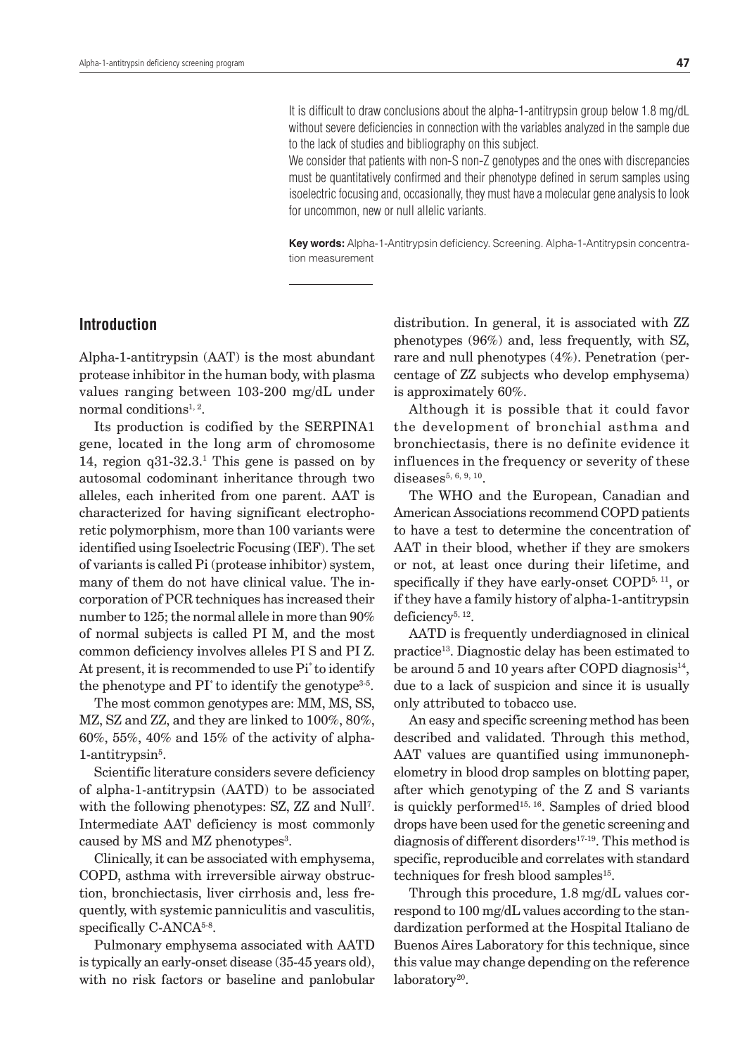It is difficult to draw conclusions about the alpha-1-antitrypsin group below 1.8 mg/dL without severe deficiencies in connection with the variables analyzed in the sample due to the lack of studies and bibliography on this subject.

We consider that patients with non-S non-Z genotypes and the ones with discrepancies must be quantitatively confirmed and their phenotype defined in serum samples using isoelectric focusing and, occasionally, they must have a molecular gene analysis to look for uncommon, new or null allelic variants.

**Key words:** Alpha-1-Antitrypsin deficiency. Screening. Alpha-1-Antitrypsin concentration measurement

# **Introduction**

Alpha-1-antitrypsin (AAT) is the most abundant protease inhibitor in the human body, with plasma values ranging between 103-200 mg/dL under normal conditions<sup> $1, 2$ </sup>.

Its production is codified by the SERPINA1 gene, located in the long arm of chromosome 14, region  $q31-32.3$ .<sup>1</sup> This gene is passed on by autosomal codominant inheritance through two alleles, each inherited from one parent. AAT is characterized for having significant electrophoretic polymorphism, more than 100 variants were identified using Isoelectric Focusing (IEF). The set of variants is called Pi (protease inhibitor) system, many of them do not have clinical value. The incorporation of PCR techniques has increased their number to 125; the normal allele in more than 90% of normal subjects is called PI M, and the most common deficiency involves alleles PI S and PI Z. At present, it is recommended to use Pi\* to identify the phenotype and  $PI^*$  to identify the genotype<sup>3-5</sup>.

The most common genotypes are: MM, MS, SS, MZ, SZ and ZZ, and they are linked to 100%, 80%,  $60\%$ ,  $55\%$ ,  $40\%$  and  $15\%$  of the activity of alpha-1-antitrypsin<sup>5</sup>.

Scientific literature considers severe deficiency of alpha-1-antitrypsin (AATD) to be associated with the following phenotypes: SZ, ZZ and Null<sup>7</sup>. Intermediate AAT deficiency is most commonly caused by MS and MZ phenotypes<sup>3</sup>.

Clinically, it can be associated with emphysema, COPD, asthma with irreversible airway obstruction, bronchiectasis, liver cirrhosis and, less frequently, with systemic panniculitis and vasculitis, specifically  $C$ -ANCA<sup>5-8</sup>.

Pulmonary emphysema associated with AATD is typically an early-onset disease (35-45 years old), with no risk factors or baseline and panlobular

distribution. In general, it is associated with ZZ phenotypes (96%) and, less frequently, with SZ, rare and null phenotypes (4%). Penetration (percentage of ZZ subjects who develop emphysema) is approximately 60%.

Although it is possible that it could favor the development of bronchial asthma and bronchiectasis, there is no definite evidence it influences in the frequency or severity of these diseases $^{5, 6, 9, 10}$ .

The WHO and the European, Canadian and American Associations recommend COPD patients to have a test to determine the concentration of AAT in their blood, whether if they are smokers or not, at least once during their lifetime, and specifically if they have early-onset COPD<sup>5, 11</sup>, or if they have a family history of alpha-1-antitrypsin deficiency<sup>5, 12</sup>.

AATD is frequently underdiagnosed in clinical practice13. Diagnostic delay has been estimated to be around 5 and 10 years after COPD diagnosis $^{14}$ , due to a lack of suspicion and since it is usually only attributed to tobacco use.

An easy and specific screening method has been described and validated. Through this method, AAT values are quantified using immunonephelometry in blood drop samples on blotting paper, after which genotyping of the Z and S variants is quickly performed<sup>15, 16</sup>. Samples of dried blood drops have been used for the genetic screening and diagnosis of different disorders17-19. This method is specific, reproducible and correlates with standard techniques for fresh blood samples<sup>15</sup>.

Through this procedure, 1.8 mg/dL values correspond to 100 mg/dL values according to the standardization performed at the Hospital Italiano de Buenos Aires Laboratory for this technique, since this value may change depending on the reference laboratory<sup>20</sup>.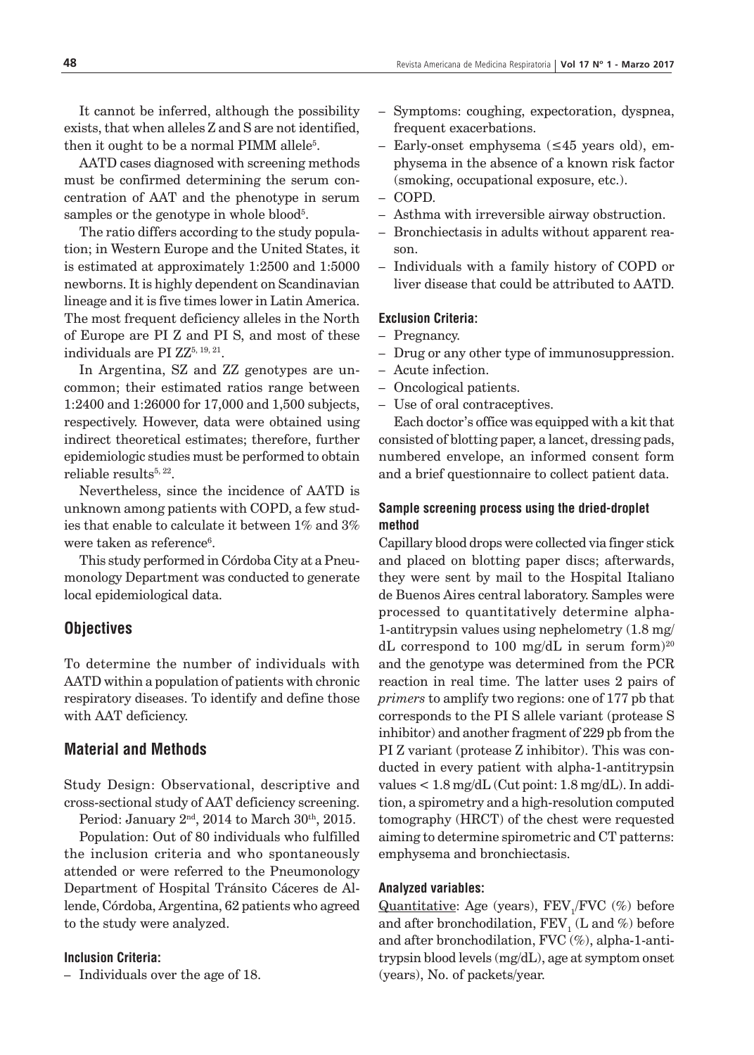It cannot be inferred, although the possibility exists, that when alleles Z and S are not identified, then it ought to be a normal  $\rm PIMM$  allele $^5$ .

AATD cases diagnosed with screening methods must be confirmed determining the serum concentration of AAT and the phenotype in serum samples or the genotype in whole blood<sup>5</sup>.

The ratio differs according to the study population; in Western Europe and the United States, it is estimated at approximately 1:2500 and 1:5000 newborns. It is highly dependent on Scandinavian lineage and it is five times lower in Latin America. The most frequent deficiency alleles in the North of Europe are PI Z and PI S, and most of these individuals are PI ZZ<sup>5, 19, 21</sup>.

In Argentina, SZ and ZZ genotypes are uncommon; their estimated ratios range between 1:2400 and 1:26000 for 17,000 and 1,500 subjects, respectively. However, data were obtained using indirect theoretical estimates; therefore, further epidemiologic studies must be performed to obtain reliable results $5, 22$ .

Nevertheless, since the incidence of AATD is unknown among patients with COPD, a few studies that enable to calculate it between 1% and 3% were taken as reference<sup>6</sup>.

This study performed in Córdoba City at a Pneumonology Department was conducted to generate local epidemiological data.

# **Objectives**

To determine the number of individuals with AATD within a population of patients with chronic respiratory diseases. To identify and define those with AAT deficiency.

# **Material and Methods**

Study Design: Observational, descriptive and cross-sectional study of AAT deficiency screening.

Period: January  $2<sup>nd</sup>$ , 2014 to March  $30<sup>th</sup>$ , 2015.

Population: Out of 80 individuals who fulfilled the inclusion criteria and who spontaneously attended or were referred to the Pneumonology Department of Hospital Tránsito Cáceres de Allende, Córdoba, Argentina, 62 patients who agreed to the study were analyzed.

#### **Inclusion Criteria:**

– Individuals over the age of 18.

- Symptoms: coughing, expectoration, dyspnea, frequent exacerbations.
- Early-onset emphysema ( $\leq 45$  years old), emphysema in the absence of a known risk factor (smoking, occupational exposure, etc.).
- COPD.
- Asthma with irreversible airway obstruction.
- Bronchiectasis in adults without apparent reason.
- Individuals with a family history of COPD or liver disease that could be attributed to AATD.

#### **Exclusion Criteria:**

- Pregnancy.
- Drug or any other type of immunosuppression.
- Acute infection.
- Oncological patients.
- Use of oral contraceptives.

Each doctor's office was equipped with a kit that consisted of blotting paper, a lancet, dressing pads, numbered envelope, an informed consent form and a brief questionnaire to collect patient data.

## **Sample screening process using the dried-droplet method**

Capillary blood drops were collected via finger stick and placed on blotting paper discs; afterwards, they were sent by mail to the Hospital Italiano de Buenos Aires central laboratory. Samples were processed to quantitatively determine alpha-1-antitrypsin values using nephelometry (1.8 mg/ dL correspond to 100 mg/dL in serum form)<sup>20</sup> and the genotype was determined from the PCR reaction in real time. The latter uses 2 pairs of *primers* to amplify two regions: one of 177 pb that corresponds to the PI S allele variant (protease S inhibitor) and another fragment of 229 pb from the PI Z variant (protease Z inhibitor). This was conducted in every patient with alpha-1-antitrypsin values < 1.8 mg/dL (Cut point: 1.8 mg/dL). In addition, a spirometry and a high-resolution computed tomography (HRCT) of the chest were requested aiming to determine spirometric and CT patterns: emphysema and bronchiectasis.

#### **Analyzed variables:**

 $\overline{\text{Quantitative}}$ : Age (years),  $\text{FEV}_1/\text{FVC}$  (%) before and after bronchodilation,  $\text{FEV}_1$  (L and %) before and after bronchodilation, FVC (%), alpha-1-antitrypsin blood levels (mg/dL), age at symptom onset (years), No. of packets/year.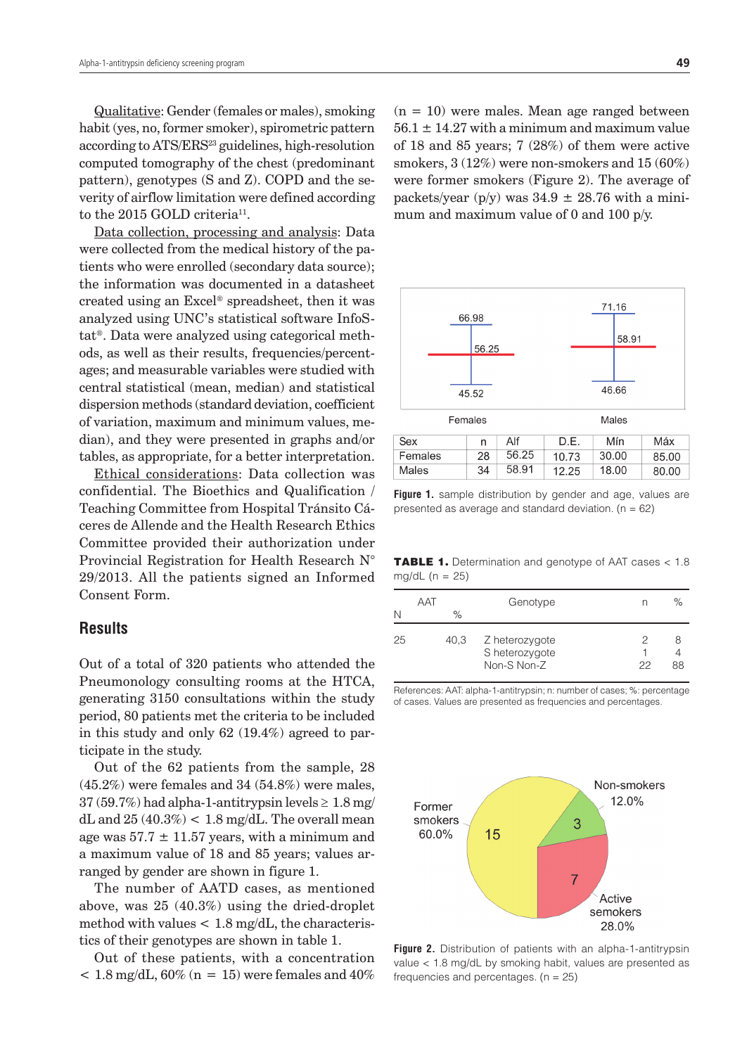Qualitative: Gender (females or males), smoking habit (yes, no, former smoker), spirometric pattern according to ATS/ERS<sup>23</sup> guidelines, high-resolution computed tomography of the chest (predominant pattern), genotypes (S and Z). COPD and the severity of airflow limitation were defined according to the 2015 GOLD criteria<sup>11</sup>.

Data collection, processing and analysis: Data were collected from the medical history of the patients who were enrolled (secondary data source); the information was documented in a datasheet created using an Excel® spreadsheet, then it was analyzed using UNC's statistical software InfoStat®. Data were analyzed using categorical methods, as well as their results, frequencies/percentages; and measurable variables were studied with central statistical (mean, median) and statistical dispersion methods (standard deviation, coefficient of variation, maximum and minimum values, median), and they were presented in graphs and/or tables, as appropriate, for a better interpretation.

Ethical considerations: Data collection was confidential. The Bioethics and Qualification / Teaching Committee from Hospital Tránsito Cáceres de Allende and the Health Research Ethics Committee provided their authorization under Provincial Registration for Health Research N° 29/2013. All the patients signed an Informed Consent Form.

# **Results**

Out of a total of 320 patients who attended the Pneumonology consulting rooms at the HTCA, generating 3150 consultations within the study period, 80 patients met the criteria to be included in this study and only 62 (19.4%) agreed to participate in the study.

Out of the 62 patients from the sample, 28 (45.2%) were females and 34 (54.8%) were males,  $37(59.7%)$  had alpha-1-antitrypsin levels  $\geq 1.8$  mg/  $dL$  and  $25(40.3%) < 1.8$  mg/dL. The overall mean age was  $57.7 \pm 11.57$  years, with a minimum and a maximum value of 18 and 85 years; values arranged by gender are shown in figure 1.

The number of AATD cases, as mentioned above, was 25 (40.3%) using the dried-droplet method with values  $< 1.8$  mg/dL, the characteristics of their genotypes are shown in table 1.

Out of these patients, with a concentration  $< 1.8$  mg/dL, 60% (n = 15) were females and 40%

 $(n = 10)$  were males. Mean age ranged between  $56.1 \pm 14.27$  with a minimum and maximum value of 18 and 85 years; 7 (28%) of them were active smokers, 3 (12%) were non-smokers and 15 (60%) were former smokers (Figure 2). The average of packets/year (p/y) was  $34.9 \pm 28.76$  with a minimum and maximum value of 0 and 100 p/y.



Figure 1. sample distribution by gender and age, values are presented as average and standard deviation. ( $n = 62$ )

TABLE 1. Determination and genotype of AAT cases < 1.8 mg/dL  $(n = 25)$ 

| N  | AAT | $\%$ | Genotype                                        |    | $\%$    |
|----|-----|------|-------------------------------------------------|----|---------|
| 25 |     | 40.3 | Z heterozygote<br>S heterozygote<br>Non-S Non-Z | 22 | 8<br>88 |

References: AAT: alpha-1-antitrypsin; n: number of cases; %: percentage of cases. Values are presented as frequencies and percentages.



**Figure 2.** Distribution of patients with an alpha-1-antitrypsin value < 1.8 mg/dL by smoking habit, values are presented as frequencies and percentages.  $(n = 25)$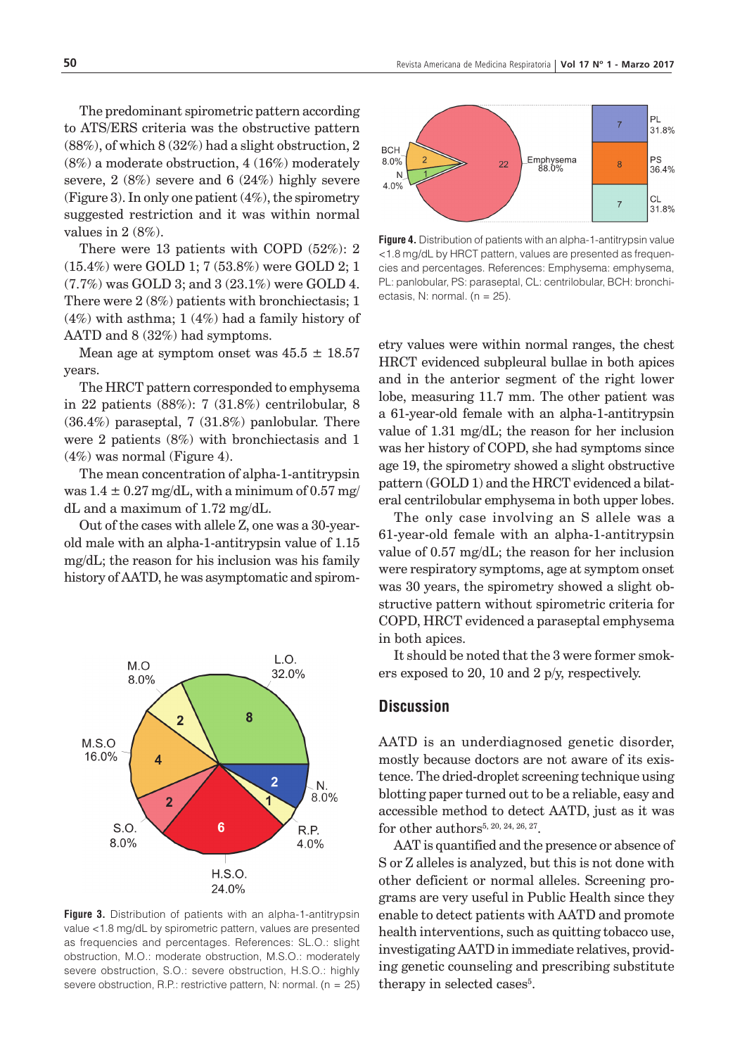The predominant spirometric pattern according to ATS/ERS criteria was the obstructive pattern (88%), of which 8 (32%) had a slight obstruction, 2 (8%) a moderate obstruction, 4 (16%) moderately severe, 2 (8%) severe and 6 (24%) highly severe (Figure 3). In only one patient (4%), the spirometry suggested restriction and it was within normal values in 2 (8%).

There were 13 patients with COPD (52%): 2 (15.4%) were GOLD 1; 7 (53.8%) were GOLD 2; 1 (7.7%) was GOLD 3; and 3 (23.1%) were GOLD 4. There were 2 (8%) patients with bronchiectasis; 1 (4%) with asthma; 1 (4%) had a family history of AATD and 8 (32%) had symptoms.

Mean age at symptom onset was  $45.5 \pm 18.57$ years.

The HRCT pattern corresponded to emphysema in 22 patients (88%): 7 (31.8%) centrilobular, 8 (36.4%) paraseptal, 7 (31.8%) panlobular. There were 2 patients (8%) with bronchiectasis and 1 (4%) was normal (Figure 4).

The mean concentration of alpha-1-antitrypsin was  $1.4 \pm 0.27$  mg/dL, with a minimum of 0.57 mg/ dL and a maximum of 1.72 mg/dL.

Out of the cases with allele Z, one was a 30-yearold male with an alpha-1-antitrypsin value of 1.15 mg/dL; the reason for his inclusion was his family history of AATD, he was asymptomatic and spirom-



**Figure 3.** Distribution of patients with an alpha-1-antitrypsin value <1.8 mg/dL by spirometric pattern, values are presented as frequencies and percentages. References: SL.O.: slight obstruction, M.O.: moderate obstruction, M.S.O.: moderately severe obstruction, S.O.: severe obstruction, H.S.O.: highly severe obstruction, R.P.: restrictive pattern, N: normal. ( $n = 25$ )



**Figure 4.** Distribution of patients with an alpha-1-antitrypsin value <1.8 mg/dL by HRCT pattern, values are presented as frequencies and percentages. References: Emphysema: emphysema, PL: panlobular, PS: paraseptal, CL: centrilobular, BCH: bronchiectasis, N: normal.  $(n = 25)$ .

etry values were within normal ranges, the chest HRCT evidenced subpleural bullae in both apices and in the anterior segment of the right lower lobe, measuring 11.7 mm. The other patient was a 61-year-old female with an alpha-1-antitrypsin value of 1.31 mg/dL; the reason for her inclusion was her history of COPD, she had symptoms since age 19, the spirometry showed a slight obstructive pattern (GOLD 1) and the HRCT evidenced a bilateral centrilobular emphysema in both upper lobes.

The only case involving an S allele was a 61-year-old female with an alpha-1-antitrypsin value of 0.57 mg/dL; the reason for her inclusion were respiratory symptoms, age at symptom onset was 30 years, the spirometry showed a slight obstructive pattern without spirometric criteria for COPD, HRCT evidenced a paraseptal emphysema in both apices.

It should be noted that the 3 were former smokers exposed to 20, 10 and 2 p/y, respectively.

## **Discussion**

AATD is an underdiagnosed genetic disorder, mostly because doctors are not aware of its existence. The dried-droplet screening technique using blotting paper turned out to be a reliable, easy and accessible method to detect AATD, just as it was for other authors<sup>5, 20, 24, 26, 27</sup>.

AAT is quantified and the presence or absence of S or Z alleles is analyzed, but this is not done with other deficient or normal alleles. Screening programs are very useful in Public Health since they enable to detect patients with AATD and promote health interventions, such as quitting tobacco use, investigating AATD in immediate relatives, providing genetic counseling and prescribing substitute therapy in selected cases<sup>5</sup>.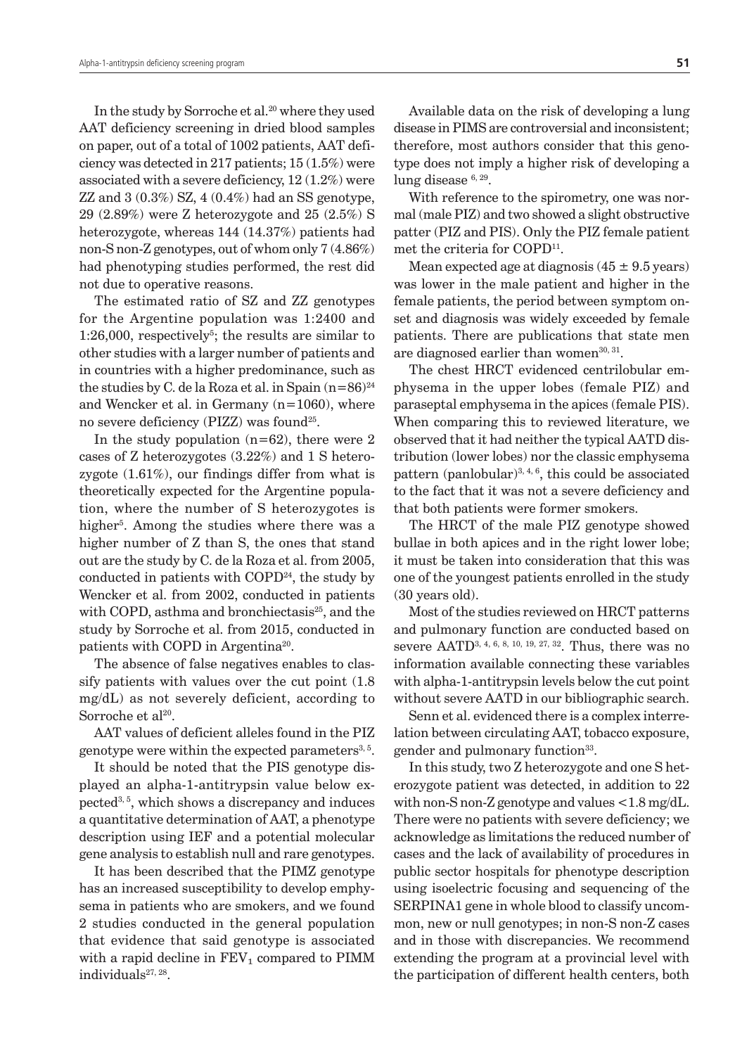In the study by Sorroche et al.<sup>20</sup> where they used AAT deficiency screening in dried blood samples on paper, out of a total of 1002 patients, AAT deficiency was detected in 217 patients; 15 (1.5%) were associated with a severe deficiency, 12 (1.2%) were  $ZZ$  and 3  $(0.3\%)$  SZ, 4  $(0.4\%)$  had an SS genotype, 29 (2.89%) were Z heterozygote and 25 (2.5%) S heterozygote, whereas 144 (14.37%) patients had non-S non-Z genotypes, out of whom only 7 (4.86%) had phenotyping studies performed, the rest did not due to operative reasons.

The estimated ratio of SZ and ZZ genotypes for the Argentine population was 1:2400 and  $1:26,000$ , respectively<sup>5</sup>; the results are similar to other studies with a larger number of patients and in countries with a higher predominance, such as the studies by C. de la Roza et al. in Spain  $(n=86)^{24}$ and Wencker et al. in Germany (n=1060), where no severe deficiency (PIZZ) was found25.

In the study population  $(n=62)$ , there were 2 cases of Z heterozygotes (3.22%) and 1 S heterozygote (1.61%), our findings differ from what is theoretically expected for the Argentine population, where the number of S heterozygotes is higher<sup>5</sup>. Among the studies where there was a higher number of Z than S, the ones that stand out are the study by C. de la Roza et al. from 2005, conducted in patients with  $\text{COPD}^{24}$ , the study by Wencker et al. from 2002, conducted in patients with COPD, asthma and bronchiectasis<sup>25</sup>, and the study by Sorroche et al. from 2015, conducted in patients with COPD in Argentina<sup>20</sup>.

The absence of false negatives enables to classify patients with values over the cut point (1.8 mg/dL) as not severely deficient, according to Sorroche et al<sup>20</sup>.

AAT values of deficient alleles found in the PIZ genotype were within the expected parameters<sup>3, 5</sup>.

It should be noted that the PIS genotype displayed an alpha-1-antitrypsin value below expected<sup>3, 5</sup>, which shows a discrepancy and induces a quantitative determination of AAT, a phenotype description using IEF and a potential molecular gene analysis to establish null and rare genotypes.

It has been described that the PIMZ genotype has an increased susceptibility to develop emphysema in patients who are smokers, and we found 2 studies conducted in the general population that evidence that said genotype is associated with a rapid decline in  $FEV<sub>1</sub>$  compared to PIMM individuals $27, 28$ .

Available data on the risk of developing a lung disease in PIMS are controversial and inconsistent; therefore, most authors consider that this genotype does not imply a higher risk of developing a lung disease  $6, 29$ .

With reference to the spirometry, one was normal (male PIZ) and two showed a slight obstructive patter (PIZ and PIS). Only the PIZ female patient met the criteria for  $\mathrm{COPD^{11}}$ .

Mean expected age at diagnosis  $(45 \pm 9.5 \text{ years})$ was lower in the male patient and higher in the female patients, the period between symptom onset and diagnosis was widely exceeded by female patients. There are publications that state men are diagnosed earlier than women $30, 31$ .

The chest HRCT evidenced centrilobular emphysema in the upper lobes (female PIZ) and paraseptal emphysema in the apices (female PIS). When comparing this to reviewed literature, we observed that it had neither the typical AATD distribution (lower lobes) nor the classic emphysema pattern (panlobular)<sup>3, 4, 6</sup>, this could be associated to the fact that it was not a severe deficiency and that both patients were former smokers.

The HRCT of the male PIZ genotype showed bullae in both apices and in the right lower lobe; it must be taken into consideration that this was one of the youngest patients enrolled in the study (30 years old).

Most of the studies reviewed on HRCT patterns and pulmonary function are conducted based on severe AATD<sup>3, 4, 6, 8, 10, 19, 27, 32</sup>. Thus, there was no information available connecting these variables with alpha-1-antitrypsin levels below the cut point without severe AATD in our bibliographic search.

Senn et al. evidenced there is a complex interrelation between circulating AAT, tobacco exposure, gender and pulmonary function<sup>33</sup>.

In this study, two Z heterozygote and one S heterozygote patient was detected, in addition to 22 with non-S non-Z genotype and values  $<$  1.8 mg/dL. There were no patients with severe deficiency; we acknowledge as limitations the reduced number of cases and the lack of availability of procedures in public sector hospitals for phenotype description using isoelectric focusing and sequencing of the SERPINA1 gene in whole blood to classify uncommon, new or null genotypes; in non-S non-Z cases and in those with discrepancies. We recommend extending the program at a provincial level with the participation of different health centers, both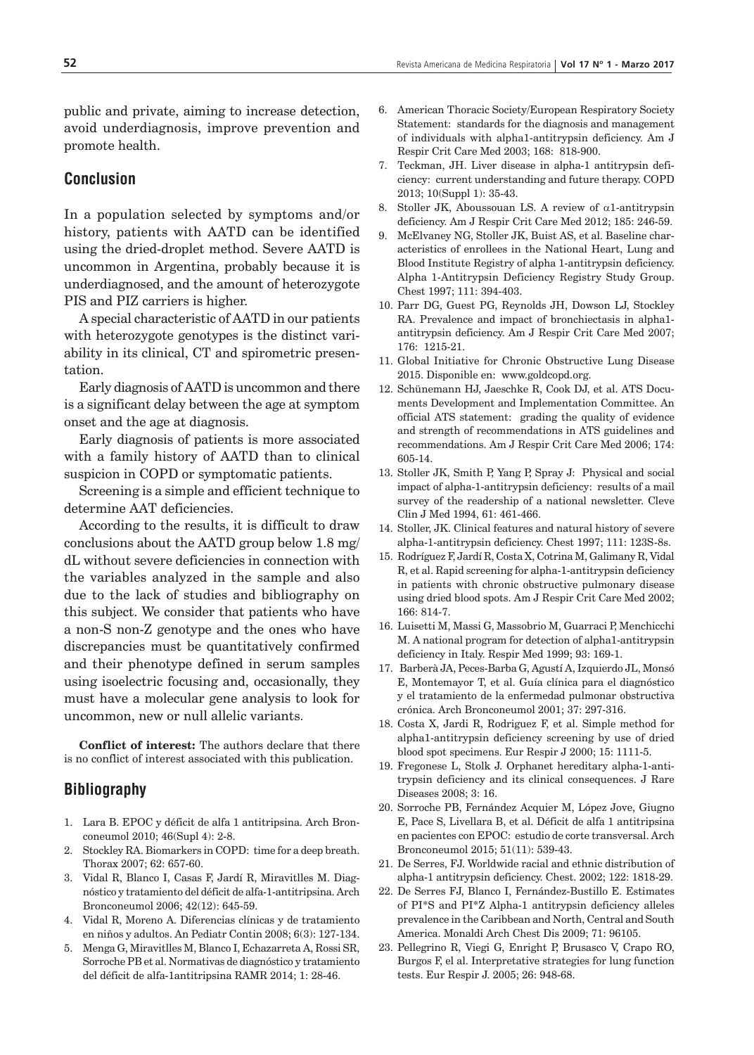public and private, aiming to increase detection, avoid underdiagnosis, improve prevention and promote health.

# **Conclusion**

In a population selected by symptoms and/or history, patients with AATD can be identified using the dried-droplet method. Severe AATD is uncommon in Argentina, probably because it is underdiagnosed, and the amount of heterozygote PIS and PIZ carriers is higher.

A special characteristic of AATD in our patients with heterozygote genotypes is the distinct variability in its clinical, CT and spirometric presentation.

Early diagnosis of AATD is uncommon and there is a significant delay between the age at symptom onset and the age at diagnosis.

Early diagnosis of patients is more associated with a family history of AATD than to clinical suspicion in COPD or symptomatic patients.

Screening is a simple and efficient technique to determine AAT deficiencies.

According to the results, it is difficult to draw conclusions about the AATD group below 1.8 mg/ dL without severe deficiencies in connection with the variables analyzed in the sample and also due to the lack of studies and bibliography on this subject. We consider that patients who have a non-S non-Z genotype and the ones who have discrepancies must be quantitatively confirmed and their phenotype defined in serum samples using isoelectric focusing and, occasionally, they must have a molecular gene analysis to look for uncommon, new or null allelic variants.

**Conflict of interest:** The authors declare that there is no conflict of interest associated with this publication.

# **Bibliography**

- 1. Lara B. EPOC y déficit de alfa 1 antitripsina. Arch Bronconeumol 2010; 46(Supl 4): 2-8.
- 2. Stockley RA. Biomarkers in COPD: time for a deep breath. Thorax 2007; 62: 657-60.
- 3. Vidal R, Blanco I, Casas F, Jardí R, Miravitlles M. Diagnóstico y tratamiento del déficit de alfa-1-antitripsina. Arch Bronconeumol 2006; 42(12): 645-59.
- 4. Vidal R, Moreno A. Diferencias clínicas y de tratamiento en niños y adultos. An Pediatr Contin 2008; 6(3): 127-134.
- 5. Menga G, Miravitlles M, Blanco I, Echazarreta A, Rossi SR, Sorroche PB et al. Normativas de diagnóstico y tratamiento del déficit de alfa-1antitripsina RAMR 2014; 1: 28-46.
- 6. American Thoracic Society/European Respiratory Society Statement: standards for the diagnosis and management of individuals with alpha1-antitrypsin deficiency. Am J Respir Crit Care Med 2003; 168: 818-900.
- 7. Teckman, JH. Liver disease in alpha-1 antitrypsin deficiency: current understanding and future therapy. COPD 2013; 10(Suppl 1): 35-43.
- 8. Stoller JK, Aboussouan LS. A review of  $\alpha$ 1-antitrypsin deficiency. Am J Respir Crit Care Med 2012; 185: 246-59.
- 9. McElvaney NG, Stoller JK, Buist AS, et al. Baseline characteristics of enrollees in the National Heart, Lung and Blood Institute Registry of alpha 1-antitrypsin deficiency. Alpha 1-Antitrypsin Deficiency Registry Study Group. Chest 1997; 111: 394-403.
- 10. Parr DG, Guest PG, Reynolds JH, Dowson LJ, Stockley RA. Prevalence and impact of bronchiectasis in alpha1 antitrypsin deficiency. Am J Respir Crit Care Med 2007; 176: 1215-21.
- 11. Global Initiative for Chronic Obstructive Lung Disease 2015. Disponible en: www.goldcopd.org.
- 12. Schünemann HJ, Jaeschke R, Cook DJ, et al. ATS Documents Development and Implementation Committee. An official ATS statement: grading the quality of evidence and strength of recommendations in ATS guidelines and recommendations. Am J Respir Crit Care Med 2006; 174: 605-14.
- 13. Stoller JK, Smith P, Yang P, Spray J: Physical and social impact of alpha-1-antitrypsin deficiency: results of a mail survey of the readership of a national newsletter. Cleve Clin J Med 1994, 61: 461-466.
- 14. Stoller, JK. Clinical features and natural history of severe alpha-1-antitrypsin deficiency. Chest 1997; 111: 123S-8s.
- 15. Rodríguez F, Jardí R, Costa X, Cotrina M, Galimany R, Vidal R, et al. Rapid screening for alpha-1-antitrypsin deficiency in patients with chronic obstructive pulmonary disease using dried blood spots. Am J Respir Crit Care Med 2002; 166: 814-7.
- 16. Luisetti M, Massi G, Massobrio M, Guarraci P, Menchicchi M. A national program for detection of alpha1-antitrypsin deficiency in Italy. Respir Med 1999; 93: 169-1.
- 17. Barberà JA, Peces-Barba G, Agustí A, Izquierdo JL, Monsó E, Montemayor T, et al. Guía clínica para el diagnóstico y el tratamiento de la enfermedad pulmonar obstructiva crónica. Arch Bronconeumol 2001; 37: 297-316.
- 18. Costa X, Jardi R, Rodriguez F, et al. Simple method for alpha1-antitrypsin deficiency screening by use of dried blood spot specimens. Eur Respir J 2000; 15: 1111-5.
- 19. Fregonese L, Stolk J. Orphanet hereditary alpha-1-antitrypsin deficiency and its clinical consequences. J Rare Diseases 2008; 3: 16.
- 20. Sorroche PB, Fernández Acquier M, López Jove, Giugno E, Pace S, Livellara B, et al. Déficit de alfa 1 antitripsina en pacientes con EPOC: estudio de corte transversal. Arch Bronconeumol 2015; 51(11): 539-43.
- 21. De Serres, FJ. Worldwide racial and ethnic distribution of alpha-1 antitrypsin deficiency. Chest. 2002; 122: 1818-29.
- 22. De Serres FJ, Blanco I, Fernández-Bustillo E. Estimates of PI\*S and PI\*Z Alpha-1 antitrypsin deficiency alleles prevalence in the Caribbean and North, Central and South America. Monaldi Arch Chest Dis 2009; 71: 96105.
- 23. Pellegrino R, Viegi G, Enright P, Brusasco V, Crapo RO, Burgos F, el al. Interpretative strategies for lung function tests. Eur Respir J. 2005; 26: 948-68.